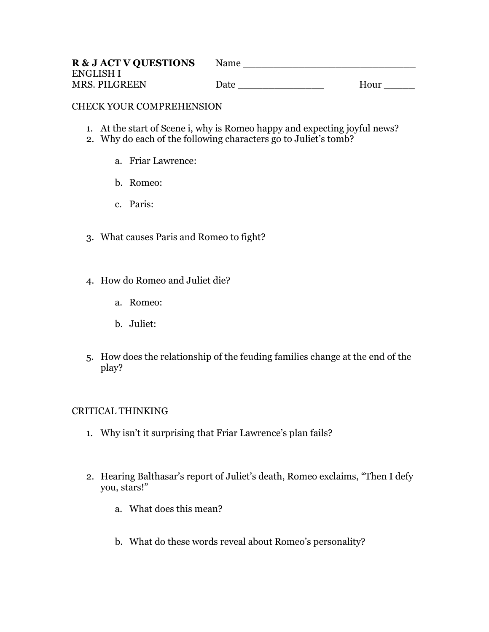| <b>R &amp; J ACT V QUESTIONS</b> | Name |      |
|----------------------------------|------|------|
| <b>ENGLISH I</b>                 |      |      |
| MRS. PILGREEN                    | Date | Hour |

## CHECK YOUR COMPREHENSION

- 1. At the start of Scene i, why is Romeo happy and expecting joyful news?
- 2. Why do each of the following characters go to Juliet's tomb?
	- a. Friar Lawrence:
	- b. Romeo:
	- c. Paris:
- 3. What causes Paris and Romeo to fight?
- 4. How do Romeo and Juliet die?
	- a. Romeo:
	- b. Juliet:
- 5. How does the relationship of the feuding families change at the end of the play?

# CRITICAL THINKING

- 1. Why isn't it surprising that Friar Lawrence's plan fails?
- 2. Hearing Balthasar's report of Juliet's death, Romeo exclaims, "Then I defy you, stars!"
	- a. What does this mean?
	- b. What do these words reveal about Romeo's personality?